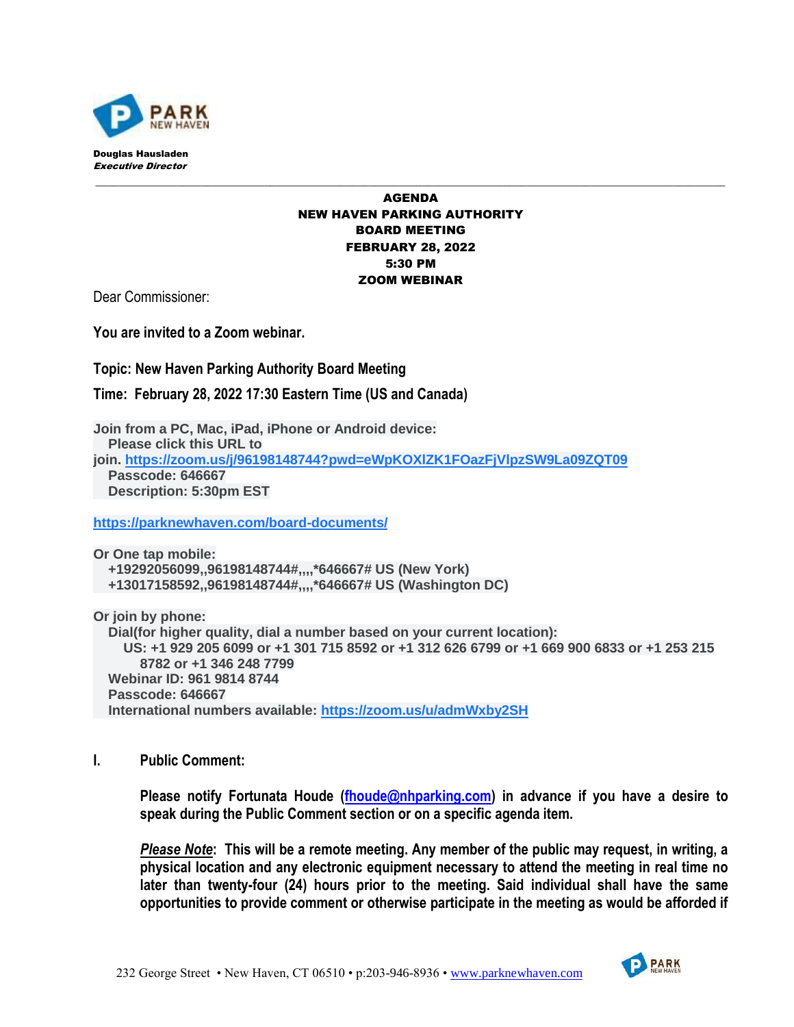

## AGENDA NEW HAVEN PARKING AUTHORITY BOARD MEETING FEBRUARY 28, 2022 5:30 PM ZOOM WEBINAR

\_\_\_\_\_\_\_\_\_\_\_\_\_\_\_\_\_\_\_\_\_\_\_\_\_\_\_\_\_\_\_\_\_\_\_\_\_\_\_\_\_\_\_\_\_\_\_\_\_\_\_\_\_\_\_\_\_\_\_\_\_\_\_\_\_\_\_\_\_\_\_\_\_\_\_\_\_\_\_\_\_\_\_\_\_\_\_\_\_\_\_\_\_\_\_\_\_\_\_\_\_\_\_\_\_\_\_\_

Dear Commissioner:

**You are invited to a Zoom webinar.**

**Topic: New Haven Parking Authority Board Meeting**

**Time: February 28, 2022 17:30 Eastern Time (US and Canada)**

**Join from a PC, Mac, iPad, iPhone or Android device: Please click this URL to join. [https://zoom.us/j/96198148744?pwd=eWpKOXlZK1FOazFjVlpzSW9La09ZQT09](https://www.google.com/url?q=https://zoom.us/j/96198148744?pwd%3DeWpKOXlZK1FOazFjVlpzSW9La09ZQT09&sa=D&source=calendar&usd=2&usg=AOvVaw25LPr6dgYVF9CTrkQKrQwz) Passcode: 646667 Description: 5:30pm EST**

**[https://parknewhaven.com/board-documents/](https://www.google.com/url?q=https://parknewhaven.com/board-documents/&sa=D&source=calendar&usd=2&usg=AOvVaw03ZqNAswky5o0bTrl3ZAkg)**

**Or One tap mobile: +19292056099,,96198148744#,,,,\*646667# US (New York) +13017158592,,96198148744#,,,,\*646667# US (Washington DC)**

**Or join by phone: Dial(for higher quality, dial a number based on your current location): US: +1 929 205 6099 or +1 301 715 8592 or +1 312 626 6799 or +1 669 900 6833 or +1 253 215 8782 or +1 346 248 7799 Webinar ID: 961 9814 8744 Passcode: 646667 International numbers available: [https://zoom.us/u/admWxby2SH](https://www.google.com/url?q=https://zoom.us/u/admWxby2SH&sa=D&source=calendar&usd=2&usg=AOvVaw3aER77qWRRQkSfxjEqM2gH)**

**I. Public Comment:**

**Please notify Fortunata Houde [\(fhoude@nhparking.com\)](mailto:fhoude@nhparking.com) in advance if you have a desire to speak during the Public Comment section or on a specific agenda item.** 

*Please Note***: This will be a remote meeting. Any member of the public may request, in writing, a physical location and any electronic equipment necessary to attend the meeting in real time no later than twenty-four (24) hours prior to the meeting. Said individual shall have the same opportunities to provide comment or otherwise participate in the meeting as would be afforded if**